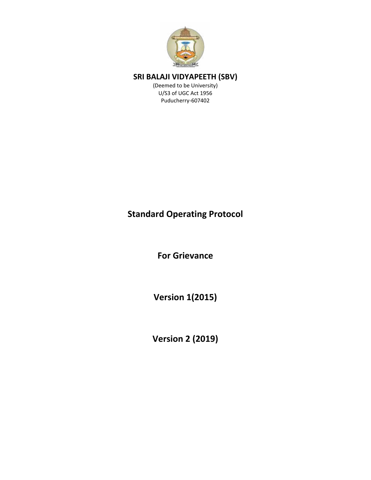

(Deemed to be University) U/S3 of UGC Act 1956 Puducherry-607402

## **Standard Operating Protocol**

**For Grievance** 

**Version 1(2015)** 

**Version 2 (2019)**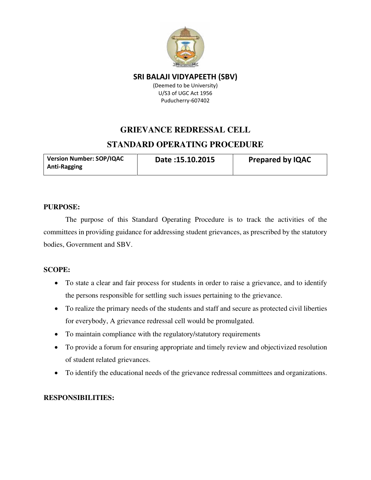

(Deemed to be University) U/S3 of UGC Act 1956 Puducherry-607402

# **GRIEVANCE REDRESSAL CELL STANDARD OPERATING PROCEDURE**

| <b>Version Number: SOP/IQAC</b> | Date: 15.10.2015 | <b>Prepared by IQAC</b> |
|---------------------------------|------------------|-------------------------|
| <b>Anti-Ragging</b>             |                  |                         |

## **PURPOSE:**

The purpose of this Standard Operating Procedure is to track the activities of the committees in providing guidance for addressing student grievances, as prescribed by the statutory bodies, Government and SBV.

## **SCOPE:**

- To state a clear and fair process for students in order to raise a grievance, and to identify the persons responsible for settling such issues pertaining to the grievance.
- To realize the primary needs of the students and staff and secure as protected civil liberties for everybody, A grievance redressal cell would be promulgated.
- To maintain compliance with the regulatory/statutory requirements
- To provide a forum for ensuring appropriate and timely review and objectivized resolution of student related grievances.
- To identify the educational needs of the grievance redressal committees and organizations.

## **RESPONSIBILITIES:**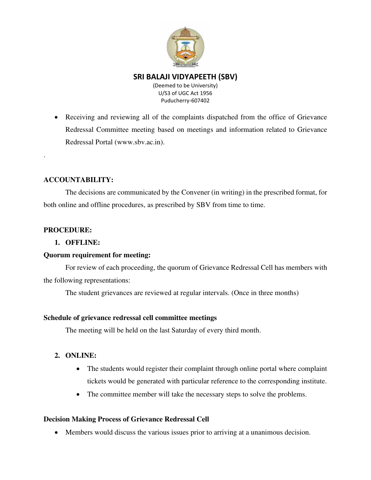

(Deemed to be University) U/S3 of UGC Act 1956 Puducherry-607402

• Receiving and reviewing all of the complaints dispatched from the office of Grievance Redressal Committee meeting based on meetings and information related to Grievance Redressal Portal (www.sbv.ac.in).

## **ACCOUNTABILITY:**

The decisions are communicated by the Convener (in writing) in the prescribed format, for both online and offline procedures, as prescribed by SBV from time to time.

## **PROCEDURE:**

.

### **1. OFFLINE:**

#### **Quorum requirement for meeting:**

For review of each proceeding, the quorum of Grievance Redressal Cell has members with the following representations:

The student grievances are reviewed at regular intervals. (Once in three months)

#### **Schedule of grievance redressal cell committee meetings**

The meeting will be held on the last Saturday of every third month.

- **2. ONLINE:** 
	- The students would register their complaint through online portal where complaint tickets would be generated with particular reference to the corresponding institute.
	- The committee member will take the necessary steps to solve the problems.

## **Decision Making Process of Grievance Redressal Cell**

• Members would discuss the various issues prior to arriving at a unanimous decision.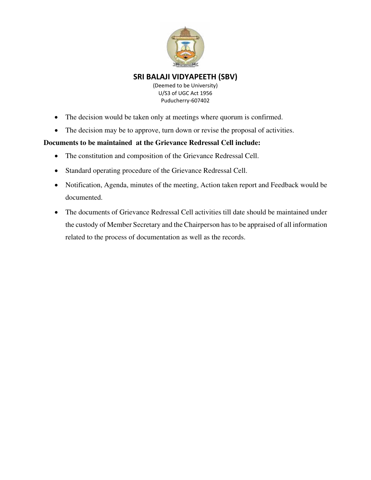

(Deemed to be University) U/S3 of UGC Act 1956 Puducherry-607402

- The decision would be taken only at meetings where quorum is confirmed.
- The decision may be to approve, turn down or revise the proposal of activities.

#### **Documents to be maintained at the Grievance Redressal Cell include:**

- The constitution and composition of the Grievance Redressal Cell.
- Standard operating procedure of the Grievance Redressal Cell.
- Notification, Agenda, minutes of the meeting, Action taken report and Feedback would be documented.
- The documents of Grievance Redressal Cell activities till date should be maintained under the custody of Member Secretary and the Chairperson has to be appraised of all information related to the process of documentation as well as the records.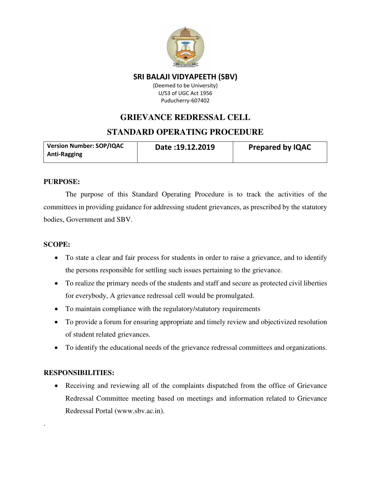

(Deemed to be University) U/S3 of UGC Act 1956 Puducherry-607402

## **GRIEVANCE REDRESSAL CELL**

## **STANDARD OPERATING PROCEDURE**

| <b>Version Number: SOP/IQAC</b> | Date: 19.12.2019 | <b>Prepared by IQAC</b> |
|---------------------------------|------------------|-------------------------|
| <b>Anti-Ragging</b>             |                  |                         |

#### **PURPOSE:**

The purpose of this Standard Operating Procedure is to track the activities of the committees in providing guidance for addressing student grievances, as prescribed by the statutory bodies, Government and SBV.

#### **SCOPE:**

- To state a clear and fair process for students in order to raise a grievance, and to identify the persons responsible for settling such issues pertaining to the grievance.
- To realize the primary needs of the students and staff and secure as protected civil liberties for everybody, A grievance redressal cell would be promulgated.
- To maintain compliance with the regulatory/statutory requirements
- To provide a forum for ensuring appropriate and timely review and objectivized resolution of student related grievances.
- To identify the educational needs of the grievance redressal committees and organizations.

## **RESPONSIBILITIES:**

.

• Receiving and reviewing all of the complaints dispatched from the office of Grievance Redressal Committee meeting based on meetings and information related to Grievance Redressal Portal (www.sbv.ac.in).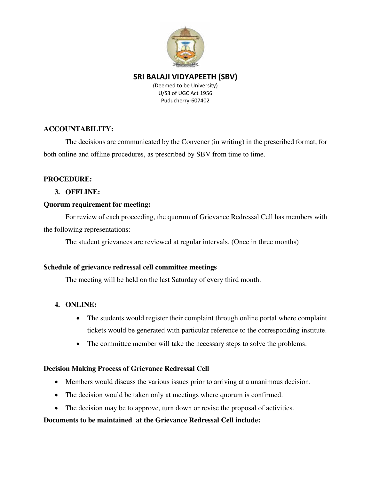

(Deemed to be University) U/S3 of UGC Act 1956 Puducherry-607402

## **ACCOUNTABILITY:**

The decisions are communicated by the Convener (in writing) in the prescribed format, for both online and offline procedures, as prescribed by SBV from time to time.

## **PROCEDURE:**

## **3. OFFLINE:**

#### **Quorum requirement for meeting:**

For review of each proceeding, the quorum of Grievance Redressal Cell has members with the following representations:

The student grievances are reviewed at regular intervals. (Once in three months)

#### **Schedule of grievance redressal cell committee meetings**

The meeting will be held on the last Saturday of every third month.

## **4. ONLINE:**

- The students would register their complaint through online portal where complaint tickets would be generated with particular reference to the corresponding institute.
- The committee member will take the necessary steps to solve the problems.

## **Decision Making Process of Grievance Redressal Cell**

- Members would discuss the various issues prior to arriving at a unanimous decision.
- The decision would be taken only at meetings where quorum is confirmed.
- The decision may be to approve, turn down or revise the proposal of activities.

#### **Documents to be maintained at the Grievance Redressal Cell include:**